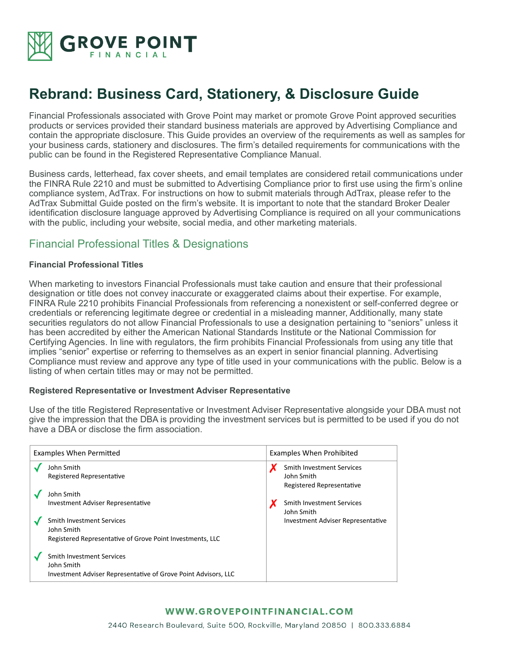

# **Rebrand: Business Card, Stationery, & Disclosure Guide**

Financial Professionals associated with Grove Point may market or promote Grove Point approved securities products or services provided their standard business materials are approved by Advertising Compliance and contain the appropriate disclosure. This Guide provides an overview of the requirements as well as samples for your business cards, stationery and disclosures. The firm's detailed requirements for communications with the public can be found in the Registered Representative Compliance Manual.

Business cards, letterhead, fax cover sheets, and email templates are considered retail communications under the FINRA Rule 2210 and must be submitted to Advertising Compliance prior to first use using the firm's online compliance system, AdTrax. For instructions on how to submit materials through AdTrax, please refer to the AdTrax Submittal Guide posted on the firm's website. It is important to note that the standard Broker Dealer identification disclosure language approved by Advertising Compliance is required on all your communications with the public, including your website, social media, and other marketing materials.

# Financial Professional Titles & Designations

#### **Financial Professional Titles**

When marketing to investors Financial Professionals must take caution and ensure that their professional designation or title does not convey inaccurate or exaggerated claims about their expertise. For example, FINRA Rule 2210 prohibits Financial Professionals from referencing a nonexistent or self-conferred degree or credentials or referencing legitimate degree or credential in a misleading manner, Additionally, many state securities regulators do not allow Financial Professionals to use a designation pertaining to "seniors" unless it has been accredited by either the American National Standards Institute or the National Commission for Certifying Agencies. In line with regulators, the firm prohibits Financial Professionals from using any title that implies "senior" expertise or referring to themselves as an expert in senior financial planning. Advertising Compliance must review and approve any type of title used in your communications with the public. Below is a listing of when certain titles may or may not be permitted.

#### **Registered Representative or Investment Adviser Representative**

Use of the title Registered Representative or Investment Adviser Representative alongside your DBA must not give the impression that the DBA is providing the investment services but is permitted to be used if you do not have a DBA or disclose the firm association.

| <b>Examples When Permitted</b> |                                                                                                                  | <b>Examples When Prohibited</b> |                                                                             |
|--------------------------------|------------------------------------------------------------------------------------------------------------------|---------------------------------|-----------------------------------------------------------------------------|
|                                | John Smith<br>Registered Representative                                                                          |                                 | <b>Smith Investment Services</b><br>John Smith<br>Registered Representative |
|                                | John Smith<br><b>Investment Adviser Representative</b>                                                           |                                 | <b>Smith Investment Services</b><br>John Smith                              |
|                                | <b>Smith Investment Services</b><br>John Smith<br>Registered Representative of Grove Point Investments, LLC      |                                 | <b>Investment Adviser Representative</b>                                    |
|                                | <b>Smith Investment Services</b><br>John Smith<br>Investment Adviser Representative of Grove Point Advisors, LLC |                                 |                                                                             |

# WWW.GROVEPOINTFINANCIAL.COM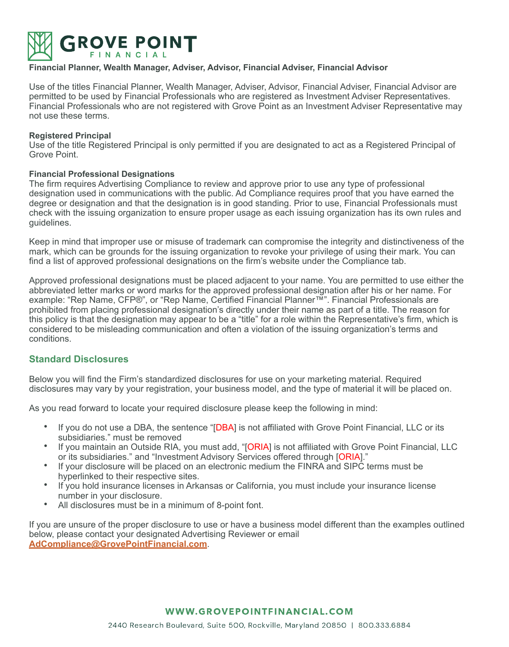

#### **Financial Planner, Wealth Manager, Adviser, Advisor, Financial Adviser, Financial Advisor**

Use of the titles Financial Planner, Wealth Manager, Adviser, Advisor, Financial Adviser, Financial Advisor are permitted to be used by Financial Professionals who are registered as Investment Adviser Representatives. Financial Professionals who are not registered with Grove Point as an Investment Adviser Representative may not use these terms.

#### **Registered Principal**

Use of the title Registered Principal is only permitted if you are designated to act as a Registered Principal of Grove Point.

#### **Financial Professional Designations**

The firm requires Advertising Compliance to review and approve prior to use any type of professional designation used in communications with the public. Ad Compliance requires proof that you have earned the degree or designation and that the designation is in good standing. Prior to use, Financial Professionals must check with the issuing organization to ensure proper usage as each issuing organization has its own rules and guidelines.

Keep in mind that improper use or misuse of trademark can compromise the integrity and distinctiveness of the mark, which can be grounds for the issuing organization to revoke your privilege of using their mark. You can find a list of approved professional designations on the firm's website under the Compliance tab.

Approved professional designations must be placed adjacent to your name. You are permitted to use either the abbreviated letter marks or word marks for the approved professional designation after his or her name. For example: "Rep Name, CFP®", or "Rep Name, Certified Financial Planner™". Financial Professionals are prohibited from placing professional designation's directly under their name as part of a title. The reason for this policy is that the designation may appear to be a "title" for a role within the Representative's firm, which is considered to be misleading communication and often a violation of the issuing organization's terms and conditions.

#### **Standard Disclosures**

Below you will find the Firm's standardized disclosures for use on your marketing material. Required disclosures may vary by your registration, your business model, and the type of material it will be placed on.

As you read forward to locate your required disclosure please keep the following in mind:

- If you do not use a DBA, the sentence "[DBA] is not affiliated with Grove Point Financial, LLC or its subsidiaries." must be removed
- If you maintain an Outside RIA, you must add, "[ORIA] is not affiliated with Grove Point Financial, LLC or its subsidiaries." and "Investment Advisory Services offered through [ORIA]."
- If your disclosure will be placed on an electronic medium the FINRA and SIPC terms must be hyperlinked to their respective sites.
- If you hold insurance licenses in Arkansas or California, you must include your insurance license number in your disclosure.
- All disclosures must be in a minimum of 8-point font.

If you are unsure of the proper disclosure to use or have a business model different than the examples outlined below, please contact your designated Advertising Reviewer or email **[AdCompliance@GrovePointFinancial.com](mailto:AdCompliance@GrovePointFinancial.com)**.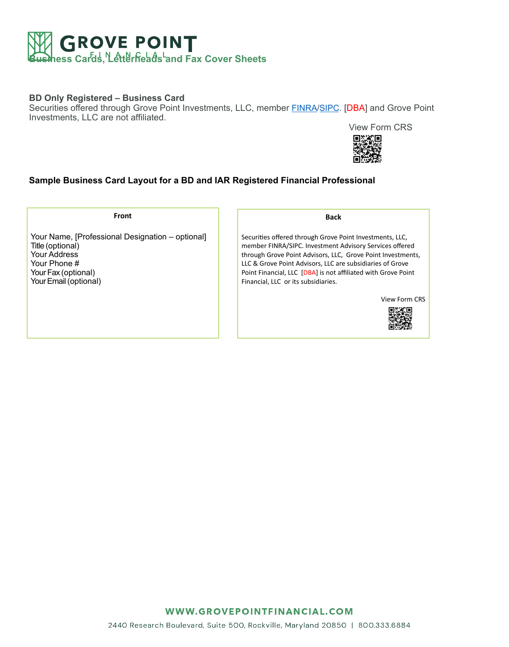

## **BD Only Registered – Business Card**

Securities offered through Grove Point Investments, LLC, member [FINRA](http://www.finra.org)[/SIPC.](http://www.SIPC.org) [DBA] and Grove Point Investments, LLC are not affiliated.

View Form CRS



# **Sample Business Card Layout for a BD and IAR Registered Financial Professional**

**Front** 

Your Name, [Professional Designation – optional] Title (optional) Your Address Your Phone # Your Fax (optional) Your Email (optional)

**Back** 

Securities offered through Grove Point Investments, LLC, member FINRA/SIPC. Investment Advisory Services offered through Grove Point Advisors, LLC, Grove Point Investments, LLC & Grove Point Advisors, LLC are subsidiaries of Grove Point Financial, LLC [DBA] is not affiliated with Grove Point Financial, LLC or its subsidiaries.

View Form CRS



WWW.GROVEPOINTFINANCIAL.COM